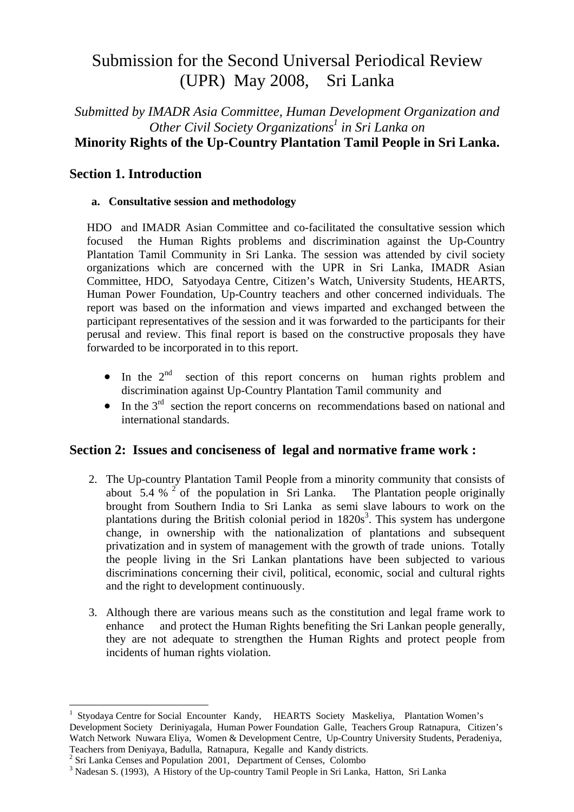# Submission for the Second Universal Periodical Review (UPR) May 2008, Sri Lanka

## *Submitted by IMADR Asia Committee, Human Development Organization and Other Civil Society Organizations<sup>1</sup> in Sri Lanka on* **Minority Rights of the Up-Country Plantation Tamil People in Sri Lanka.**

## **Section 1. Introduction**

#### **a. Consultative session and methodology**

HDO and IMADR Asian Committee and co-facilitated the consultative session which focused the Human Rights problems and discrimination against the Up-Country Plantation Tamil Community in Sri Lanka. The session was attended by civil society organizations which are concerned with the UPR in Sri Lanka, IMADR Asian Committee, HDO, Satyodaya Centre, Citizen's Watch, University Students, HEARTS, Human Power Foundation, Up-Country teachers and other concerned individuals. The report was based on the information and views imparted and exchanged between the participant representatives of the session and it was forwarded to the participants for their perusal and review. This final report is based on the constructive proposals they have forwarded to be incorporated in to this report.

- In the  $2<sup>nd</sup>$  section of this report concerns on human rights problem and discrimination against Up-Country Plantation Tamil community and
- In the  $3<sup>rd</sup>$  section the report concerns on recommendations based on national and international standards.

## **Section 2: Issues and conciseness of legal and normative frame work :**

- 2. The Up-country Plantation Tamil People from a minority community that consists of about  $5.4 \%$  <sup>2</sup> of the population in Sri Lanka. The Plantation people originally brought from Southern India to Sri Lanka as semi slave labours to work on the plantations during the British colonial period in 1820s<sup>3</sup>. This system has undergone change, in ownership with the nationalization of plantations and subsequent privatization and in system of management with the growth of trade unions. Totally the people living in the Sri Lankan plantations have been subjected to various discriminations concerning their civil, political, economic, social and cultural rights and the right to development continuously.
- 3. Although there are various means such as the constitution and legal frame work to enhance and protect the Human Rights benefiting the Sri Lankan people generally, they are not adequate to strengthen the Human Rights and protect people from incidents of human rights violation.

 $\overline{a}$ 

<sup>1</sup> Styodaya Centre for Social Encounter Kandy, HEARTS Society Maskeliya, Plantation Women's Development Society Deriniyagala, Human Power Foundation Galle, Teachers Group Ratnapura, Citizen's Watch Network Nuwara Eliya, Women & Development Centre, Up-Country University Students, Peradeniya, Teachers from Deniyaya, Badulla, Ratnapura, Kegalle and Kandy districts. 2

 $2$  Sri Lanka Censes and Population 2001, Department of Censes, Colombo

<sup>&</sup>lt;sup>3</sup> Nadesan S. (1993), A History of the Up-country Tamil People in Sri Lanka, Hatton, Sri Lanka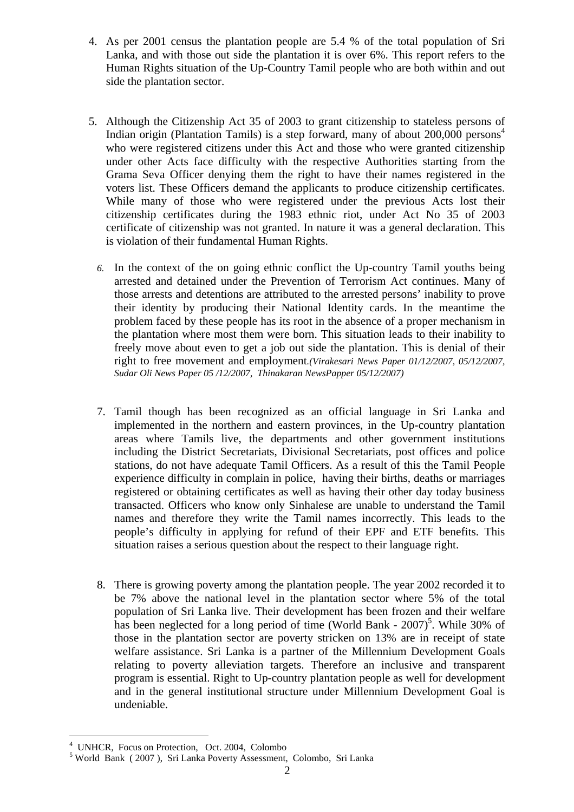- 4. As per 2001 census the plantation people are 5.4 % of the total population of Sri Lanka, and with those out side the plantation it is over 6%. This report refers to the Human Rights situation of the Up-Country Tamil people who are both within and out side the plantation sector.
- 5. Although the Citizenship Act 35 of 2003 to grant citizenship to stateless persons of Indian origin (Plantation Tamils) is a step forward, many of about  $200,000$  persons<sup>4</sup> who were registered citizens under this Act and those who were granted citizenship under other Acts face difficulty with the respective Authorities starting from the Grama Seva Officer denying them the right to have their names registered in the voters list. These Officers demand the applicants to produce citizenship certificates. While many of those who were registered under the previous Acts lost their citizenship certificates during the 1983 ethnic riot, under Act No 35 of 2003 certificate of citizenship was not granted. In nature it was a general declaration. This is violation of their fundamental Human Rights.
	- *6.* In the context of the on going ethnic conflict the Up-country Tamil youths being arrested and detained under the Prevention of Terrorism Act continues. Many of those arrests and detentions are attributed to the arrested persons' inability to prove their identity by producing their National Identity cards. In the meantime the problem faced by these people has its root in the absence of a proper mechanism in the plantation where most them were born. This situation leads to their inability to freely move about even to get a job out side the plantation. This is denial of their right to free movement and employment*.(Virakesari News Paper 01/12/2007, 05/12/2007, Sudar Oli News Paper 05 /12/2007, Thinakaran NewsPapper 05/12/2007)*
	- 7. Tamil though has been recognized as an official language in Sri Lanka and implemented in the northern and eastern provinces, in the Up-country plantation areas where Tamils live, the departments and other government institutions including the District Secretariats, Divisional Secretariats, post offices and police stations, do not have adequate Tamil Officers. As a result of this the Tamil People experience difficulty in complain in police, having their births, deaths or marriages registered or obtaining certificates as well as having their other day today business transacted. Officers who know only Sinhalese are unable to understand the Tamil names and therefore they write the Tamil names incorrectly. This leads to the people's difficulty in applying for refund of their EPF and ETF benefits. This situation raises a serious question about the respect to their language right.
	- 8. There is growing poverty among the plantation people. The year 2002 recorded it to be 7% above the national level in the plantation sector where 5% of the total population of Sri Lanka live. Their development has been frozen and their welfare has been neglected for a long period of time (World Bank -  $2007$ )<sup>5</sup>. While 30% of those in the plantation sector are poverty stricken on 13% are in receipt of state welfare assistance. Sri Lanka is a partner of the Millennium Development Goals relating to poverty alleviation targets. Therefore an inclusive and transparent program is essential. Right to Up-country plantation people as well for development and in the general institutional structure under Millennium Development Goal is undeniable.

 $\overline{a}$ 4 UNHCR, Focus on Protection, Oct. 2004, Colombo

<sup>&</sup>lt;sup>5</sup> World Bank (2007), Sri Lanka Poverty Assessment, Colombo, Sri Lanka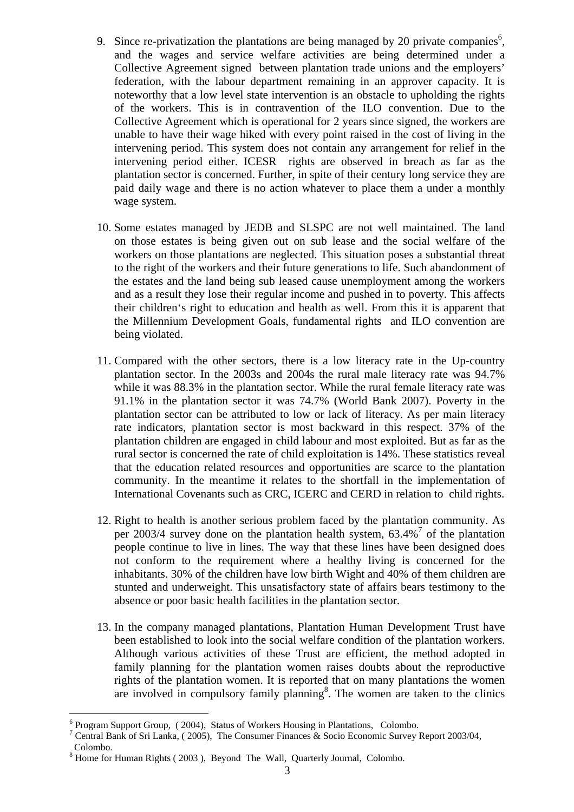- 9. Since re-privatization the plantations are being managed by 20 private companies<sup>6</sup>, and the wages and service welfare activities are being determined under a Collective Agreement signed between plantation trade unions and the employers' federation, with the labour department remaining in an approver capacity. It is noteworthy that a low level state intervention is an obstacle to upholding the rights of the workers. This is in contravention of the ILO convention. Due to the Collective Agreement which is operational for 2 years since signed, the workers are unable to have their wage hiked with every point raised in the cost of living in the intervening period. This system does not contain any arrangement for relief in the intervening period either. ICESR rights are observed in breach as far as the plantation sector is concerned. Further, in spite of their century long service they are paid daily wage and there is no action whatever to place them a under a monthly wage system.
- 10. Some estates managed by JEDB and SLSPC are not well maintained. The land on those estates is being given out on sub lease and the social welfare of the workers on those plantations are neglected. This situation poses a substantial threat to the right of the workers and their future generations to life. Such abandonment of the estates and the land being sub leased cause unemployment among the workers and as a result they lose their regular income and pushed in to poverty. This affects their children's right to education and health as well. From this it is apparent that the Millennium Development Goals, fundamental rights and ILO convention are being violated.
- 11. Compared with the other sectors, there is a low literacy rate in the Up-country plantation sector. In the 2003s and 2004s the rural male literacy rate was 94.7% while it was 88.3% in the plantation sector. While the rural female literacy rate was 91.1% in the plantation sector it was 74.7% (World Bank 2007). Poverty in the plantation sector can be attributed to low or lack of literacy. As per main literacy rate indicators, plantation sector is most backward in this respect. 37% of the plantation children are engaged in child labour and most exploited. But as far as the rural sector is concerned the rate of child exploitation is 14%. These statistics reveal that the education related resources and opportunities are scarce to the plantation community. In the meantime it relates to the shortfall in the implementation of International Covenants such as CRC, ICERC and CERD in relation to child rights.
- 12. Right to health is another serious problem faced by the plantation community. As per 2003/4 survey done on the plantation health system, 63.4%<sup>7</sup> of the plantation people continue to live in lines. The way that these lines have been designed does not conform to the requirement where a healthy living is concerned for the inhabitants. 30% of the children have low birth Wight and 40% of them children are stunted and underweight. This unsatisfactory state of affairs bears testimony to the absence or poor basic health facilities in the plantation sector.
- 13. In the company managed plantations, Plantation Human Development Trust have been established to look into the social welfare condition of the plantation workers. Although various activities of these Trust are efficient, the method adopted in family planning for the plantation women raises doubts about the reproductive rights of the plantation women. It is reported that on many plantations the women are involved in compulsory family planning<sup>8</sup>. The women are taken to the clinics

 $\overline{a}$ 

<sup>&</sup>lt;sup>6</sup> Program Support Group, (2004), Status of Workers Housing in Plantations, Colombo.

<sup>&</sup>lt;sup>7</sup> Central Bank of Sri Lanka, (2005), The Consumer Finances & Socio Economic Survey Report 2003/04,

Colombo.

 $8$  Home for Human Rights (2003), Beyond The Wall, Quarterly Journal, Colombo.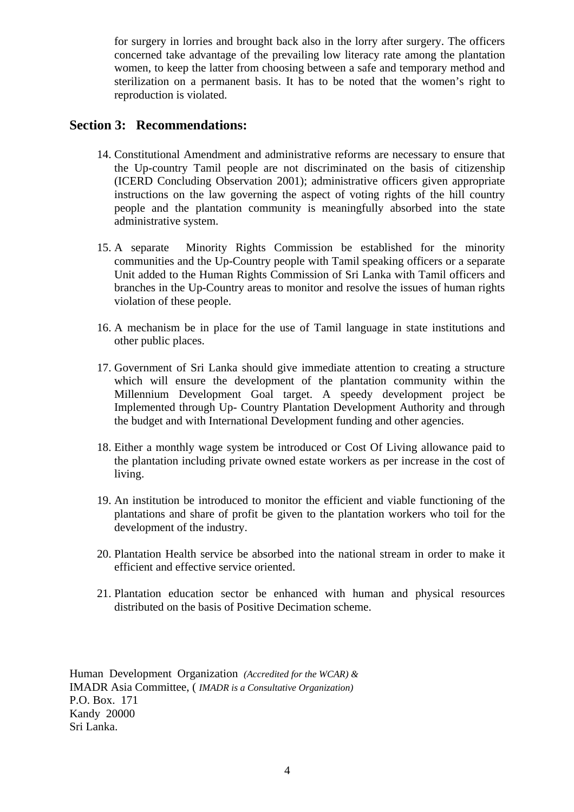for surgery in lorries and brought back also in the lorry after surgery. The officers concerned take advantage of the prevailing low literacy rate among the plantation women, to keep the latter from choosing between a safe and temporary method and sterilization on a permanent basis. It has to be noted that the women's right to reproduction is violated.

## **Section 3: Recommendations:**

- 14. Constitutional Amendment and administrative reforms are necessary to ensure that the Up-country Tamil people are not discriminated on the basis of citizenship (ICERD Concluding Observation 2001); administrative officers given appropriate instructions on the law governing the aspect of voting rights of the hill country people and the plantation community is meaningfully absorbed into the state administrative system.
- 15. A separate Minority Rights Commission be established for the minority communities and the Up-Country people with Tamil speaking officers or a separate Unit added to the Human Rights Commission of Sri Lanka with Tamil officers and branches in the Up-Country areas to monitor and resolve the issues of human rights violation of these people.
- 16. A mechanism be in place for the use of Tamil language in state institutions and other public places.
- 17. Government of Sri Lanka should give immediate attention to creating a structure which will ensure the development of the plantation community within the Millennium Development Goal target. A speedy development project be Implemented through Up- Country Plantation Development Authority and through the budget and with International Development funding and other agencies.
- 18. Either a monthly wage system be introduced or Cost Of Living allowance paid to the plantation including private owned estate workers as per increase in the cost of living.
- 19. An institution be introduced to monitor the efficient and viable functioning of the plantations and share of profit be given to the plantation workers who toil for the development of the industry.
- 20. Plantation Health service be absorbed into the national stream in order to make it efficient and effective service oriented.
- 21. Plantation education sector be enhanced with human and physical resources distributed on the basis of Positive Decimation scheme.

Human Development Organization *(Accredited for the WCAR) &*  IMADR Asia Committee, ( *IMADR is a Consultative Organization)*  P.O. Box. 171 Kandy 20000 Sri Lanka.